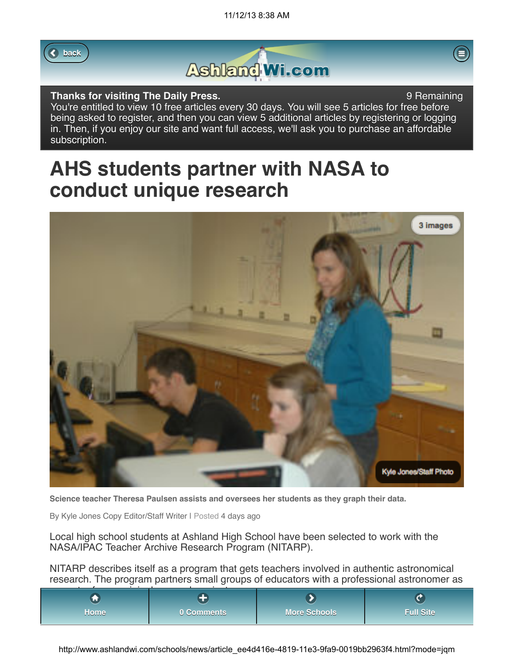



## **Thanks for visiting The Daily Press. 19 Accord 20 Accord 20 Accord 20 Accord 20 Accord 20 Accord 20 Accord 20 Accord 20 Accord 20 Accord 20 Accord 20 Accord 20 Accord 20 Accord 20 Accord 20 Accord 20 Accord 20 Accord 20**

You're entitled to view 10 free articles every 30 days. You will see 5 articles for free before being asked to register, and then you can view 5 additional articles by registering or logging in. Then, if you enjoy our site and want full access, we'll ask you to purchase an affordable subscription.

## **AHS students partner with NASA to conduct unique research**



**Science teacher Theresa Paulsen assists and oversees her students as they graph their data.**

By Kyle Jones Copy Editor/Staff Writer | Posted 4 days ago

Local high school students at Ashland High School have been selected to work with the NASA/IPAC Teacher Archive Research Program (NITARP).

NITARP describes itself as a program that gets teachers involved in authentic astronomical research. The program partners small groups of educators with a professional astronomer as

| w     |            |              |                  |
|-------|------------|--------------|------------------|
| /Home | 0 Comments | More Schools | <b>Full Site</b> |

http://www.ashlandwi.com/schools/news/article\_ee4d416e-4819-11e3-9fa9-0019bb2963f4.html?mode=jqm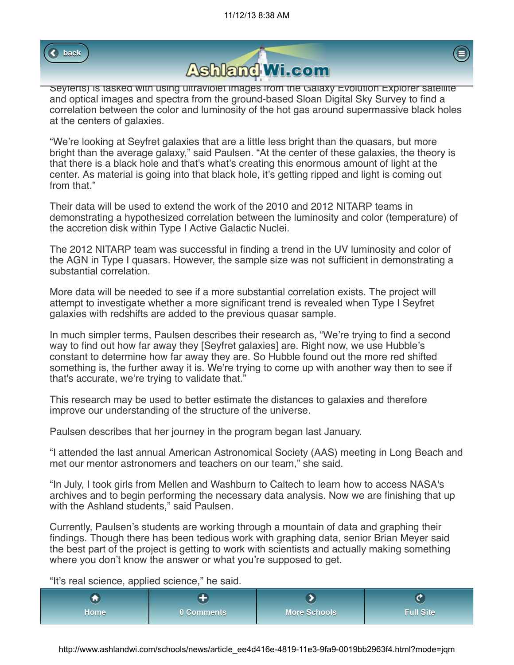





Seyferts) is tasked with using ultraviolet images from the Galaxy Evolution Explorer satellite and optical images and spectra from the ground-based Sloan Digital Sky Survey to find a correlation between the color and luminosity of the hot gas around supermassive black holes at the centers of galaxies.

"We're looking at Seyfret galaxies that are a little less bright than the quasars, but more bright than the average galaxy," said Paulsen. "At the center of these galaxies, the theory is that there is a black hole and that's what's creating this enormous amount of light at the center. As material is going into that black hole, it's getting ripped and light is coming out from that."

Their data will be used to extend the work of the 2010 and 2012 NITARP teams in demonstrating a hypothesized correlation between the luminosity and color (temperature) of the accretion disk within Type I Active Galactic Nuclei.

The 2012 NITARP team was successful in finding a trend in the UV luminosity and color of the AGN in Type I quasars. However, the sample size was not sufficient in demonstrating a substantial correlation.

More data will be needed to see if a more substantial correlation exists. The project will attempt to investigate whether a more significant trend is revealed when Type I Seyfret galaxies with redshifts are added to the previous quasar sample.

In much simpler terms, Paulsen describes their research as, "We're trying to find a second way to find out how far away they [Seyfret galaxies] are. Right now, we use Hubble's constant to determine how far away they are. So Hubble found out the more red shifted something is, the further away it is. We're trying to come up with another way then to see if that's accurate, we're trying to validate that."

This research may be used to better estimate the distances to galaxies and therefore improve our understanding of the structure of the universe.

Paulsen describes that her journey in the program began last January.

"I attended the last annual American Astronomical Society (AAS) meeting in Long Beach and met our mentor astronomers and teachers on our team," she said.

"In July, I took girls from Mellen and Washburn to Caltech to learn how to access NASA's archives and to begin performing the necessary data analysis. Now we are finishing that up with the Ashland students," said Paulsen.

Currently, Paulsen's students are working through a mountain of data and graphing their findings. Though there has been tedious work with graphing data, senior Brian Meyer said the best part of the project is getting to work with scientists and actually making something where you don't know the answer or what you're supposed to get.

"It's real science, applied science," he said.

| /Home<br>. | 0 Comments | More Schools | Full Site $^{\dagger}$ |
|------------|------------|--------------|------------------------|

http://www.ashlandwi.com/schools/news/article\_ee4d416e-4819-11e3-9fa9-0019bb2963f4.html?mode=jqm